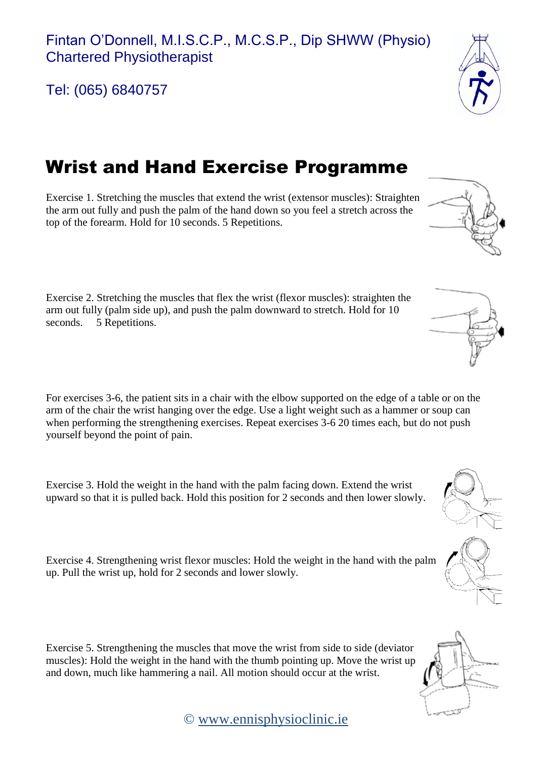© [www.ennisphysioclinic.ie](http://www.ennisphysioclinic.ie/)

Tel: (065) 6840757

## Wrist and Hand Exercise Programme

Exercise 1. Stretching the muscles that extend the wrist (extensor muscles): Straighten the arm out fully and push the palm of the hand down so you feel a stretch across the top of the forearm. Hold for 10 seconds. 5 Repetitions.

Exercise 2. Stretching the muscles that flex the wrist (flexor muscles): straighten the arm out fully (palm side up), and push the palm downward to stretch. Hold for 10 seconds. 5 Repetitions.

For exercises 3-6, the patient sits in a chair with the elbow supported on the edge of a table or on the arm of the chair the wrist hanging over the edge. Use a light weight such as a hammer or soup can when performing the strengthening exercises. Repeat exercises 3-6 20 times each, but do not push yourself beyond the point of pain.

Exercise 3. Hold the weight in the hand with the palm facing down. Extend the wrist upward so that it is pulled back. Hold this position for 2 seconds and then lower slowly.

Exercise 4. Strengthening wrist flexor muscles: Hold the weight in the hand with the palm

up. Pull the wrist up, hold for 2 seconds and lower slowly.

Exercise 5. Strengthening the muscles that move the wrist from side to side (deviator muscles): Hold the weight in the hand with the thumb pointing up. Move the wrist up and down, much like hammering a nail. All motion should occur at the wrist.